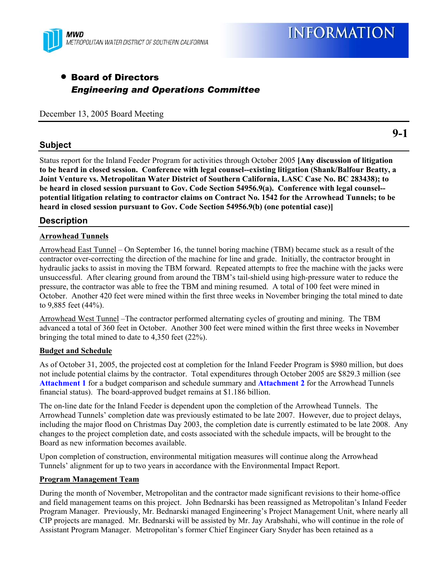

# • Board of Directors *Engineering and Operations Committee*

December 13, 2005 Board Meeting

## **Subject**

Status report for the Inland Feeder Program for activities through October 2005 **[Any discussion of litigation to be heard in closed session. Conference with legal counsel--existing litigation (Shank/Balfour Beatty, a Joint Venture vs. Metropolitan Water District of Southern California, LASC Case No. BC 283438); to be heard in closed session pursuant to Gov. Code Section 54956.9(a). Conference with legal counsel- potential litigation relating to contractor claims on Contract No. 1542 for the Arrowhead Tunnels; to be heard in closed session pursuant to Gov. Code Section 54956.9(b) (one potential case)]**

## **Description**

### **Arrowhead Tunnels**

Arrowhead East Tunnel – On September 16, the tunnel boring machine (TBM) became stuck as a result of the contractor over-correcting the direction of the machine for line and grade. Initially, the contractor brought in hydraulic jacks to assist in moving the TBM forward. Repeated attempts to free the machine with the jacks were unsuccessful. After clearing ground from around the TBM's tail-shield using high-pressure water to reduce the pressure, the contractor was able to free the TBM and mining resumed. A total of 100 feet were mined in October. Another 420 feet were mined within the first three weeks in November bringing the total mined to date to 9,885 feet (44%).

Arrowhead West Tunnel –The contractor performed alternating cycles of grouting and mining. The TBM advanced a total of 360 feet in October. Another 300 feet were mined within the first three weeks in November bringing the total mined to date to 4,350 feet (22%).

#### **Budget and Schedule**

As of October 31, 2005, the projected cost at completion for the Inland Feeder Program is \$980 million, but does not include potential claims by the contractor. Total expenditures through October 2005 are \$829.3 million (see **Attachment 1** for a budget comparison and schedule summary and **Attachment 2** for the Arrowhead Tunnels financial status). The board-approved budget remains at \$1.186 billion.

The on-line date for the Inland Feeder is dependent upon the completion of the Arrowhead Tunnels. The Arrowhead Tunnels' completion date was previously estimated to be late 2007. However, due to project delays, including the major flood on Christmas Day 2003, the completion date is currently estimated to be late 2008. Any changes to the project completion date, and costs associated with the schedule impacts, will be brought to the Board as new information becomes available.

Upon completion of construction, environmental mitigation measures will continue along the Arrowhead Tunnels' alignment for up to two years in accordance with the Environmental Impact Report.

#### **Program Management Team**

During the month of November, Metropolitan and the contractor made significant revisions to their home-office and field management teams on this project. John Bednarski has been reassigned as Metropolitan's Inland Feeder Program Manager. Previously, Mr. Bednarski managed Engineering's Project Management Unit, where nearly all CIP projects are managed. Mr. Bednarski will be assisted by Mr. Jay Arabshahi, who will continue in the role of Assistant Program Manager. Metropolitan's former Chief Engineer Gary Snyder has been retained as a

**9-1**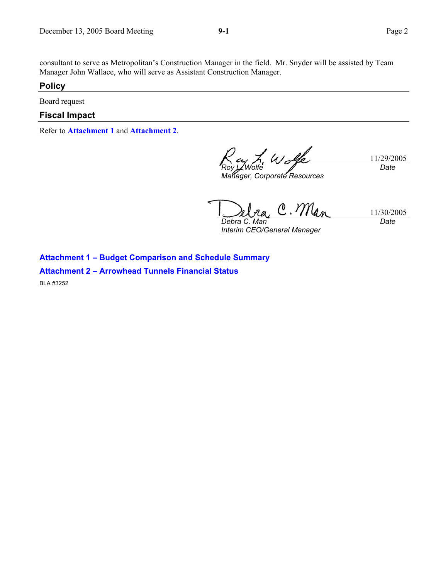consultant to serve as Metropolitan's Construction Manager in the field. Mr. Snyder will be assisted by Team Manager John Wallace, who will serve as Assistant Construction Manager.

### **Policy**

Board request

## **Fiscal Impact**

Refer to **Attachment 1** and **Attachment 2**.

*Roy L. Wolfe* 

*Manager, Corporate Resources* 

11/29/2005 *Date* 

 $Y/\ell_{a}$ 11/30/2005 *Date Debra C. Man* 

*Interim CEO/General Manager* 

**Attachment 1 – Budget Comparison and Schedule Summary** 

**Attachment 2 – Arrowhead Tunnels Financial Status** 

BLA #3252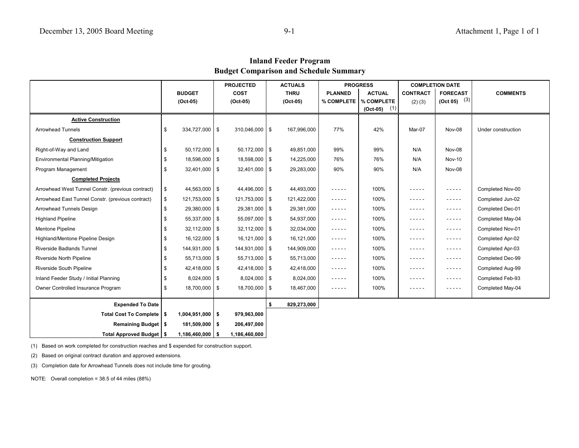**Inland Feeder Program Budget Comparison and Schedule Summary**

|                                                   |                          | <b>PROJECTED</b> |                    | <b>ACTUALS</b> |             | <b>PROGRESS</b> |                   | <b>COMPLETION DATE</b> |                                                                                                                                                      |                    |
|---------------------------------------------------|--------------------------|------------------|--------------------|----------------|-------------|-----------------|-------------------|------------------------|------------------------------------------------------------------------------------------------------------------------------------------------------|--------------------|
|                                                   | <b>BUDGET</b>            |                  | <b>COST</b>        |                | <b>THRU</b> | <b>PLANNED</b>  | <b>ACTUAL</b>     | <b>CONTRACT</b>        | <b>FORECAST</b>                                                                                                                                      | <b>COMMENTS</b>    |
|                                                   | $(Oct-05)$               |                  | $(Oct-05)$         |                | $(Oct-05)$  | % COMPLETE      | % COMPLETE        | $(2)$ $(3)$            | $(Oct 05)$ $(3)$                                                                                                                                     |                    |
|                                                   |                          |                  |                    |                |             |                 | (1)<br>$(Oct-05)$ |                        |                                                                                                                                                      |                    |
| <b>Active Construction</b>                        |                          |                  |                    |                |             |                 |                   |                        |                                                                                                                                                      |                    |
| <b>Arrowhead Tunnels</b>                          | \$<br>334,727,000 \$     |                  | $310,046,000$ \ \$ |                | 167,996,000 | 77%             | 42%               | Mar-07                 | Nov-08                                                                                                                                               | Under construction |
| <b>Construction Support</b>                       |                          |                  |                    |                |             |                 |                   |                        |                                                                                                                                                      |                    |
| Right-of-Way and Land                             | \$<br>$50,172,000$ \$    |                  | $50,172,000$ \$    |                | 49,851,000  | 99%             | 99%               | N/A                    | Nov-08                                                                                                                                               |                    |
| Environmental Planning/Mitigation                 | \$<br>18,598,000 \$      |                  | 18,598,000   \$    |                | 14,225,000  | 76%             | 76%               | N/A                    | <b>Nov-10</b>                                                                                                                                        |                    |
| Program Management                                | \$<br>$32,401,000$ \$    |                  | $32,401,000$ \$    |                | 29,283,000  | 90%             | 90%               | N/A                    | Nov-08                                                                                                                                               |                    |
| <b>Completed Projects</b>                         |                          |                  |                    |                |             |                 |                   |                        |                                                                                                                                                      |                    |
| Arrowhead West Tunnel Constr. (previous contract) | \$<br>44,563,000 \$      |                  | $44,496,000$ \$    |                | 44,493,000  | -----           | 100%              | - - - - -              | -----                                                                                                                                                | Completed Nov-00   |
| Arrowhead East Tunnel Constr. (previous contract) | \$<br>$121,753,000$ \ \$ |                  | $121,753,000$ \ \$ |                | 121,422,000 | $- - - - -$     | 100%              | -----                  | -----                                                                                                                                                | Completed Jun-02   |
| Arrowhead Tunnels Design                          | \$<br>29,380,000 \$      |                  | 29,381,000 \$      |                | 29,381,000  | -----           | 100%              | -----                  | -----                                                                                                                                                | Completed Dec-01   |
| <b>Highland Pipeline</b>                          | \$<br>55,337,000 \$      |                  | 55,097,000 \$      |                | 54,937,000  | -----           | 100%              | .                      | -----                                                                                                                                                | Completed May-04   |
| <b>Mentone Pipeline</b>                           | \$<br>$32,112,000$ \$    |                  | $32,112,000$ \ \$  |                | 32,034,000  | -----           | 100%              | -----                  | $\frac{1}{2} \left( \frac{1}{2} \right) \left( \frac{1}{2} \right) \left( \frac{1}{2} \right) \left( \frac{1}{2} \right) \left( \frac{1}{2} \right)$ | Completed Nov-01   |
| Highland/Mentone Pipeline Design                  | \$<br>$16,122,000$ \$    |                  | $16,121,000$ \ \$  |                | 16,121,000  | -----           | 100%              | - - - - -              | -----                                                                                                                                                | Completed Apr-02   |
| Riverside Badlands Tunnel                         | \$<br>144,931,000 \$     |                  | 144,931,000 \$     |                | 144,909,000 | $- - - - -$     | 100%              | - - - - -              | $- - - - -$                                                                                                                                          | Completed Apr-03   |
| Riverside North Pipeline                          | \$<br>55,713,000 \$      |                  | $55,713,000$ \ \$  |                | 55,713,000  | -----           | 100%              | .                      | $- - - - -$                                                                                                                                          | Completed Dec-99   |
| Riverside South Pipeline                          | \$<br>$42,418,000$ \$    |                  | 42,418,000 \$      |                | 42,418,000  | -----           | 100%              | -----                  | $- - - - -$                                                                                                                                          | Completed Aug-99   |
| Inland Feeder Study / Initial Planning            | \$<br>8,024,000 \$       |                  | $8,024,000$ \ \$   |                | 8,024,000   | -----           | 100%              | .                      | $\frac{1}{2} \left( \frac{1}{2} \right) \left( \frac{1}{2} \right) \left( \frac{1}{2} \right) \left( \frac{1}{2} \right) \left( \frac{1}{2} \right)$ | Completed Feb-93   |
| Owner Controlled Insurance Program                | \$<br>18,700,000 \$      |                  | 18,700,000 \$      |                | 18,467,000  | -----           | 100%              | -----                  | $\frac{1}{2} \left( \frac{1}{2} \right) \left( \frac{1}{2} \right) \left( \frac{1}{2} \right) \left( \frac{1}{2} \right) \left( \frac{1}{2} \right)$ | Completed May-04   |
| <b>Expended To Date</b>                           |                          |                  |                    | \$             | 829,273,000 |                 |                   |                        |                                                                                                                                                      |                    |
|                                                   |                          |                  |                    |                |             |                 |                   |                        |                                                                                                                                                      |                    |
| Total Cost To Complete   \$                       | $1,004,951,000$ \$       |                  | 979,963,000        |                |             |                 |                   |                        |                                                                                                                                                      |                    |
| Remaining Budget   \$                             | 181,509,000 \$           |                  | 206,497,000        |                |             |                 |                   |                        |                                                                                                                                                      |                    |

(1) Based on work completed for construction reaches and \$ expended for construction support.

**Total Approved Budget 1,186,460,000 \$ 1,186,460,000 \$** 

(2) Based on original contract duration and approved extensions.

(3) Completion date for Arrowhead Tunnels does not include time for grouting.

NOTE: Overall completion = 38.5 of 44 miles (88%)